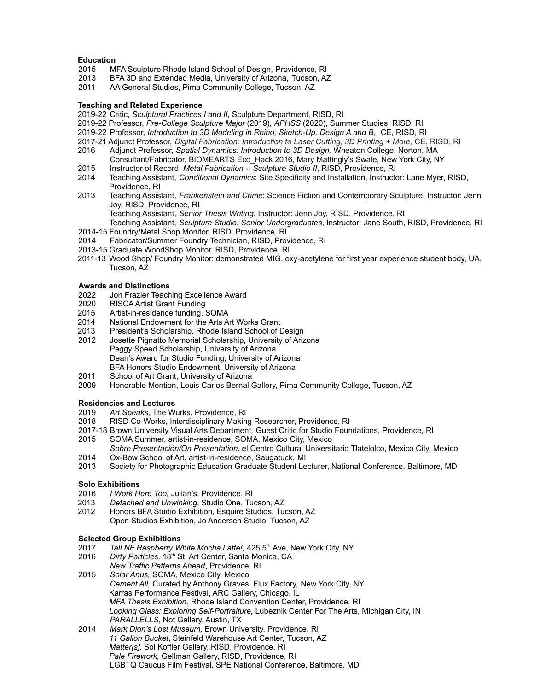# **Education**

- 2015 MFA Sculpture Rhode Island School of Design, Providence, RI
- 2013 BFA 3D and Extended Media, University of Arizona, Tucson, AZ
- 2011 AA General Studies, Pima Community College, Tucson, AZ

## **Teaching and Related Experience**

- 2019-22 Critic, *Sculptural Practices I and II*, Sculpture Department, RISD, RI
- 2019-22 Professor, *Pre-College Sculpture Major* (2019)*, APHSS* (2020), Summer Studies, RISD, RI
- 2019-22 Professor, *Introduction to 3D Modeling in Rhino, Sketch-Up, Design A and B,* CE, RISD, RI
- 2017-21 Adjunct Professor, *Digital Fabrication: Introduction to Laser Cutting, 3D Printing + More*, CE, RISD, RI
- 2016 Adjunct Professor, *Spatial Dynamics: Introduction to 3D Design,* Wheaton College, Norton, MA Consultant/Fabricator, BIOMEARTS Eco\_Hack 2016, Mary Mattingly's Swale, New York City, NY
- 2015 Instructor of Record, *Metal Fabrication -- Sculpture Studio II*, RISD, Providence, RI
- 2014 Teaching Assistant, *Conditional Dynamics*: Site Specificity and Installation, Instructor: Lane Myer, RISD, Providence, RI
- 2013 Teaching Assistant, *Frankenstein and Crime*: Science Fiction and Contemporary Sculpture, Instructor: Jenn Joy, RISD, Providence, RI
	- Teaching Assistant, *Senior Thesis Writing*, Instructor: Jenn Joy, RISD, Providence, RI Teaching Assistant, *Sculpture Studio: Senior Undergraduates*, Instructor: Jane South, RISD, Providence, RI
- 2014-15 Foundry/Metal Shop Monitor, RISD, Providence, RI
- 2014 Fabricator/Summer Foundry Technician, RISD, Providence, RI
- 2013-15 Graduate WoodShop Monitor, RISD, Providence, RI
- 2011-13 Wood Shop/ Foundry Monitor: demonstrated MIG, oxy-acetylene for first year experience student body, UA, Tucson, AZ

## **Awards and Distinctions**

- 2022 Jon Frazier Teaching Excellence Award
- 2020 RISCA Artist Grant Funding
- 2015 Artist-in-residence funding, SOMA
- 2014 National Endowment for the Arts Art Works Grant
- 2013 President's Scholarship, Rhode Island School of Design
- 2012 Josette Pignatto Memorial Scholarship, University of Arizona Peggy Speed Scholarship, University of Arizona Dean's Award for Studio Funding, University of Arizona BFA Honors Studio Endowment, University of Arizona
- 2011 School of Art Grant, University of Arizona<br>2009 Honorable Mention, Louis Carlos Bernal (
- Honorable Mention, Louis Carlos Bernal Gallery, Pima Community College, Tucson, AZ

## **Residencies and Lectures**

- 2019 *Art Speaks,* The Wurks, Providence, RI
- 2018 RISD Co-Works, Interdisciplinary Making Researcher, Providence, RI
- 2017-18 Brown University Visual Arts Department, Guest Critic for Studio Foundations, Providence, RI
- 2015 SOMA Summer, artist-in-residence, SOMA, Mexico City, Mexico
- *Sobre Presentación/On Presentation,* el Centro Cultural Universitario Tlatelolco, Mexico City, Mexico 2014 Ox-Bow School of Art, artist-in-residence, Saugatuck, MI
- 2013 Society for Photographic Education Graduate Student Lecturer, National Conference, Baltimore, MD

## **Solo Exhibitions**

- 2016 *I Work Here Too,* Julian's, Providence, RI
- 2013 *Detached and Unwinking*, Studio One, Tucson, AZ
- 2012 Honors BFA Studio Exhibition, Esquire Studios, Tucson, AZ Open Studios Exhibition, Jo Andersen Studio, Tucson, AZ

## **Selected Group Exhibitions**

- 2017 *Tall NF Raspberry White Mocha Latte!,* 425 5<sup>th</sup> Ave, New York City, NY
- 2016 *Dirty Particles,* 18<sup>th</sup> St. Art Center, Santa Monica, CA *New Traffic Patterns Ahead*, Providence, RI
- 2015 *Solar Anus,* SOMA, Mexico City, Mexico *Cement All,* Curated by Anthony Graves, Flux Factory, New York City, NY Karras Performance Festival, ARC Gallery, Chicago, IL *MFA Thesis Exhibition*, Rhode Island Convention Center, Providence, RI *Looking Glass: Exploring Self-Portraiture,* Lubeznik Center For The Arts, Michigan City, IN *PARALLELLS*, Not Gallery, Austin, TX
- 2014 *Mark Dion's Lost Museum,* Brown University, Providence, RI *11 Gallon Bucket*, Steinfeld Warehouse Art Center, Tucson, AZ *Matter[s],* Sol Koffler Gallery, RISD, Providence, RI *Pale Firework,* Gellman Gallery, RISD, Providence, RI LGBTQ Caucus Film Festival, SPE National Conference, Baltimore, MD